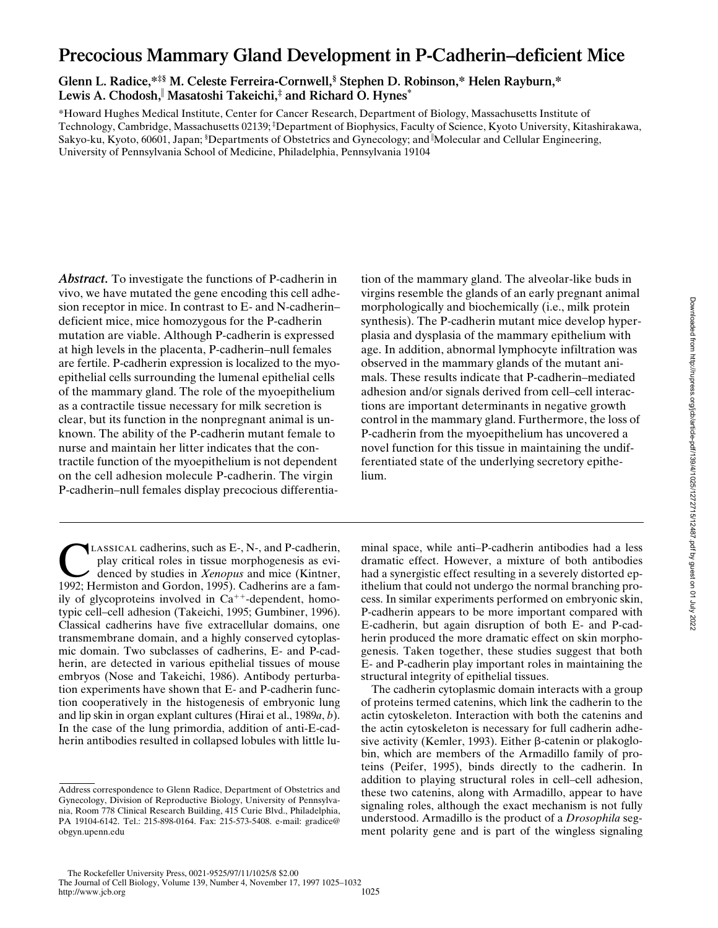# **Precocious Mammary Gland Development in P-Cadherin–deficient Mice**

**Glenn L. Radice,\*‡§ M. Celeste Ferreira-Cornwell,§ Stephen D. Robinson,\* Helen Rayburn,\* Lewis A. Chodosh,**<sup>i</sup>  **Masatoshi Takeichi,‡ and Richard O. Hynes\***

\*Howard Hughes Medical Institute, Center for Cancer Research, Department of Biology, Massachusetts Institute of Technology, Cambridge, Massachusetts 02139; ‡ Department of Biophysics, Faculty of Science, Kyoto University, Kitashirakawa, Sakyo-ku, Kyoto, 60601, Japan; <sup>§</sup>Departments of Obstetrics and Gynecology; and <sup>|</sup>Molecular and Cellular Engineering, University of Pennsylvania School of Medicine, Philadelphia, Pennsylvania 19104

*Abstract.* To investigate the functions of P-cadherin in vivo, we have mutated the gene encoding this cell adhesion receptor in mice. In contrast to E- and N-cadherin– deficient mice, mice homozygous for the P-cadherin mutation are viable. Although P-cadherin is expressed at high levels in the placenta, P-cadherin–null females are fertile. P-cadherin expression is localized to the myoepithelial cells surrounding the lumenal epithelial cells of the mammary gland. The role of the myoepithelium as a contractile tissue necessary for milk secretion is clear, but its function in the nonpregnant animal is unknown. The ability of the P-cadherin mutant female to nurse and maintain her litter indicates that the contractile function of the myoepithelium is not dependent on the cell adhesion molecule P-cadherin. The virgin P-cadherin–null females display precocious differentia-

LASSICAL cadherins, such as E-, N-, and P-cadherin, play critical roles in tissue morphogenesis as evidenced by studies in *Xenopus* and mice (Kintner, 1992; Hermiston and Gordon, 1995). Cadherins are a family of glycoproteins involved in  $Ca^{++}$ -dependent, homotypic cell–cell adhesion (Takeichi, 1995; Gumbiner, 1996). Classical cadherins have five extracellular domains, one transmembrane domain, and a highly conserved cytoplasmic domain. Two subclasses of cadherins, E- and P-cadherin, are detected in various epithelial tissues of mouse embryos (Nose and Takeichi, 1986). Antibody perturbation experiments have shown that E- and P-cadherin function cooperatively in the histogenesis of embryonic lung and lip skin in organ explant cultures (Hirai et al., 1989*a*, *b*). In the case of the lung primordia, addition of anti-E-cadherin antibodies resulted in collapsed lobules with little lu-

tion of the mammary gland. The alveolar-like buds in virgins resemble the glands of an early pregnant animal morphologically and biochemically (i.e., milk protein synthesis). The P-cadherin mutant mice develop hyperplasia and dysplasia of the mammary epithelium with age. In addition, abnormal lymphocyte infiltration was observed in the mammary glands of the mutant animals. These results indicate that P-cadherin–mediated adhesion and/or signals derived from cell–cell interactions are important determinants in negative growth control in the mammary gland. Furthermore, the loss of P-cadherin from the myoepithelium has uncovered a novel function for this tissue in maintaining the undifferentiated state of the underlying secretory epithelium.

minal space, while anti–P-cadherin antibodies had a less dramatic effect. However, a mixture of both antibodies had a synergistic effect resulting in a severely distorted epithelium that could not undergo the normal branching process. In similar experiments performed on embryonic skin, P-cadherin appears to be more important compared with E-cadherin, but again disruption of both E- and P-cadherin produced the more dramatic effect on skin morphogenesis. Taken together, these studies suggest that both E- and P-cadherin play important roles in maintaining the structural integrity of epithelial tissues.

The cadherin cytoplasmic domain interacts with a group of proteins termed catenins, which link the cadherin to the actin cytoskeleton. Interaction with both the catenins and the actin cytoskeleton is necessary for full cadherin adhesive activity (Kemler, 1993). Either  $\beta$ -catenin or plakoglobin, which are members of the Armadillo family of proteins (Peifer, 1995), binds directly to the cadherin. In addition to playing structural roles in cell–cell adhesion, these two catenins, along with Armadillo, appear to have signaling roles, although the exact mechanism is not fully understood. Armadillo is the product of a *Drosophila* segment polarity gene and is part of the wingless signaling

Address correspondence to Glenn Radice, Department of Obstetrics and Gynecology, Division of Reproductive Biology, University of Pennsylvania, Room 778 Clinical Research Building, 415 Curie Blvd., Philadelphia, PA 19104-6142. Tel.: 215-898-0164. Fax: 215-573-5408. e-mail: gradice@ obgyn.upenn.edu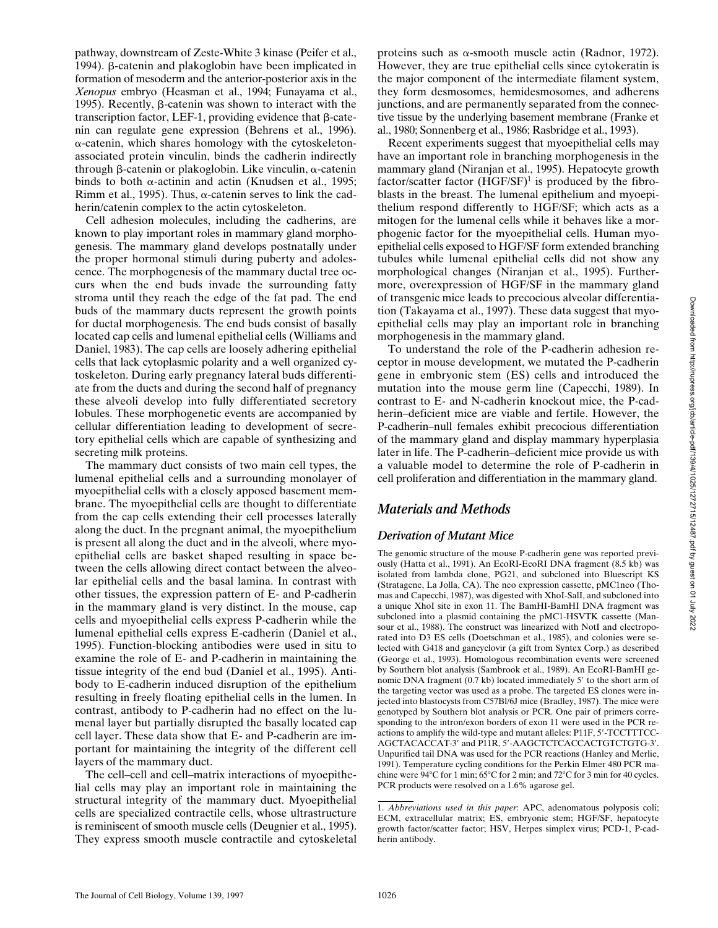pathway, downstream of Zeste-White 3 kinase (Peifer et al., 1994). β-catenin and plakoglobin have been implicated in formation of mesoderm and the anterior-posterior axis in the *Xenopus* embryo (Heasman et al., 1994; Funayama et al., 1995). Recently,  $\beta$ -catenin was shown to interact with the transcription factor, LEF-1, providing evidence that  $\beta$ -catenin can regulate gene expression (Behrens et al., 1996).  $\alpha$ -catenin, which shares homology with the cytoskeletonassociated protein vinculin, binds the cadherin indirectly through  $\beta$ -catenin or plakoglobin. Like vinculin,  $\alpha$ -catenin binds to both  $\alpha$ -actinin and actin (Knudsen et al., 1995; Rimm et al., 1995). Thus,  $\alpha$ -catenin serves to link the cadherin/catenin complex to the actin cytoskeleton.

Cell adhesion molecules, including the cadherins, are known to play important roles in mammary gland morphogenesis. The mammary gland develops postnatally under the proper hormonal stimuli during puberty and adolescence. The morphogenesis of the mammary ductal tree occurs when the end buds invade the surrounding fatty stroma until they reach the edge of the fat pad. The end buds of the mammary ducts represent the growth points for ductal morphogenesis. The end buds consist of basally located cap cells and lumenal epithelial cells (Williams and Daniel, 1983). The cap cells are loosely adhering epithelial cells that lack cytoplasmic polarity and a well organized cytoskeleton. During early pregnancy lateral buds differentiate from the ducts and during the second half of pregnancy these alveoli develop into fully differentiated secretory lobules. These morphogenetic events are accompanied by cellular differentiation leading to development of secretory epithelial cells which are capable of synthesizing and secreting milk proteins.

The mammary duct consists of two main cell types, the lumenal epithelial cells and a surrounding monolayer of myoepithelial cells with a closely apposed basement membrane. The myoepithelial cells are thought to differentiate from the cap cells extending their cell processes laterally along the duct. In the pregnant animal, the myoepithelium is present all along the duct and in the alveoli, where myoepithelial cells are basket shaped resulting in space between the cells allowing direct contact between the alveolar epithelial cells and the basal lamina. In contrast with other tissues, the expression pattern of E- and P-cadherin in the mammary gland is very distinct. In the mouse, cap cells and myoepithelial cells express P-cadherin while the lumenal epithelial cells express E-cadherin (Daniel et al., 1995). Function-blocking antibodies were used in situ to examine the role of E- and P-cadherin in maintaining the tissue integrity of the end bud (Daniel et al., 1995). Antibody to E-cadherin induced disruption of the epithelium resulting in freely floating epithelial cells in the lumen. In contrast, antibody to P-cadherin had no effect on the lumenal layer but partially disrupted the basally located cap cell layer. These data show that E- and P-cadherin are important for maintaining the integrity of the different cell layers of the mammary duct.

The cell–cell and cell–matrix interactions of myoepithelial cells may play an important role in maintaining the structural integrity of the mammary duct. Myoepithelial cells are specialized contractile cells, whose ultrastructure is reminiscent of smooth muscle cells (Deugnier et al., 1995). They express smooth muscle contractile and cytoskeletal proteins such as  $\alpha$ -smooth muscle actin (Radnor, 1972). However, they are true epithelial cells since cytokeratin is the major component of the intermediate filament system, they form desmosomes, hemidesmosomes, and adherens junctions, and are permanently separated from the connective tissue by the underlying basement membrane (Franke et al., 1980; Sonnenberg et al., 1986; Rasbridge et al., 1993).

Recent experiments suggest that myoepithelial cells may have an important role in branching morphogenesis in the mammary gland (Niranjan et al., 1995). Hepatocyte growth factor/scatter factor  $(HGF/SF)^1$  is produced by the fibroblasts in the breast. The lumenal epithelium and myoepithelium respond differently to HGF/SF; which acts as a mitogen for the lumenal cells while it behaves like a morphogenic factor for the myoepithelial cells. Human myoepithelial cells exposed to HGF/SF form extended branching tubules while lumenal epithelial cells did not show any morphological changes (Niranjan et al., 1995). Furthermore, overexpression of HGF/SF in the mammary gland of transgenic mice leads to precocious alveolar differentiation (Takayama et al., 1997). These data suggest that myoepithelial cells may play an important role in branching morphogenesis in the mammary gland.

To understand the role of the P-cadherin adhesion receptor in mouse development, we mutated the P-cadherin gene in embryonic stem (ES) cells and introduced the mutation into the mouse germ line (Capecchi, 1989). In contrast to E- and N-cadherin knockout mice, the P-cadherin–deficient mice are viable and fertile. However, the P-cadherin–null females exhibit precocious differentiation of the mammary gland and display mammary hyperplasia later in life. The P-cadherin–deficient mice provide us with a valuable model to determine the role of P-cadherin in cell proliferation and differentiation in the mammary gland.

## *Materials and Methods*

### *Derivation of Mutant Mice*

The genomic structure of the mouse P-cadherin gene was reported previously (Hatta et al., 1991). An EcoRI-EcoRI DNA fragment (8.5 kb) was isolated from lambda clone, PG21, and subcloned into Bluescript KS (Stratagene, La Jolla, CA). The neo expression cassette, pMC1neo (Thomas and Capecchi, 1987), was digested with XhoI-SalI, and subcloned into a unique XhoI site in exon 11. The BamHI-BamHI DNA fragment was subcloned into a plasmid containing the pMC1-HSVTK cassette (Mansour et al., 1988). The construct was linearized with NotI and electroporated into D3 ES cells (Doetschman et al., 1985), and colonies were selected with G418 and gancyclovir (a gift from Syntex Corp.) as described (George et al., 1993). Homologous recombination events were screened by Southern blot analysis (Sambrook et al., 1989). An EcoRI-BamHI genomic DNA fragment (0.7 kb) located immediately 5' to the short arm of the targeting vector was used as a probe. The targeted ES clones were injected into blastocysts from C57Bl/6J mice (Bradley, 1987). The mice were genotyped by Southern blot analysis or PCR. One pair of primers corresponding to the intron/exon borders of exon 11 were used in the PCR reactions to amplify the wild-type and mutant alleles: P11F, 5'-TCCTTTCC-AGCTACACCAT-3' and P11R, 5'-AAGCTCTCACCACTGTCTGTG-3'. Unpurified tail DNA was used for the PCR reactions (Hanley and Merlie, 1991). Temperature cycling conditions for the Perkin Elmer 480 PCR machine were 94°C for 1 min;  $65^{\circ}$ C for 2 min; and 72°C for 3 min for 40 cycles. PCR products were resolved on a 1.6% agarose gel.

<sup>1.</sup> *Abbreviations used in this paper*: APC, adenomatous polyposis coli; ECM, extracellular matrix; ES, embryonic stem; HGF/SF, hepatocyte growth factor/scatter factor; HSV, Herpes simplex virus; PCD-1, P-cadherin antibody.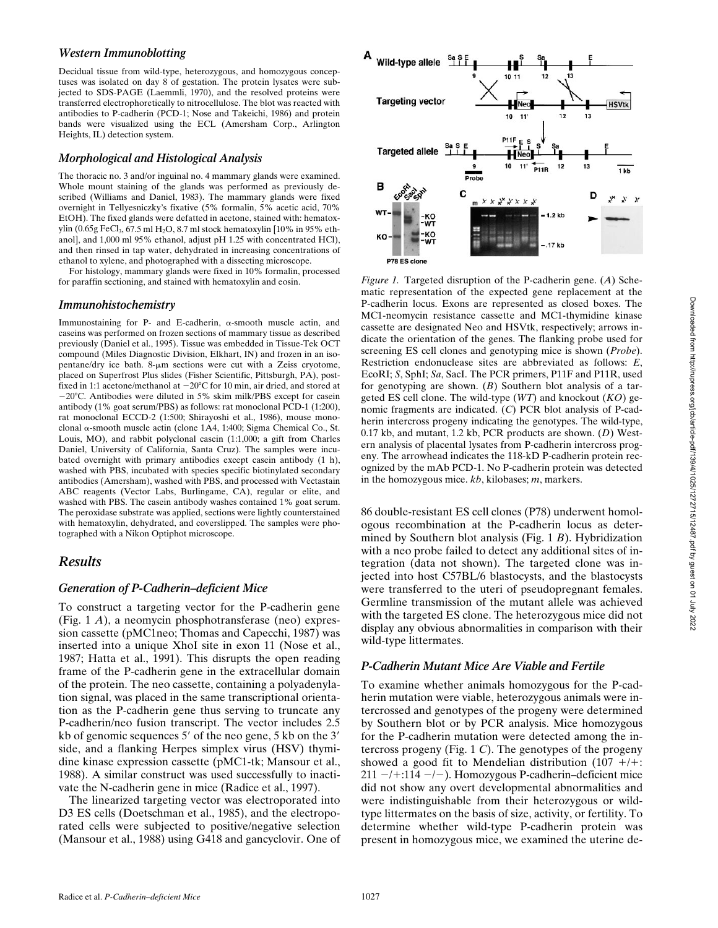#### *Western Immunoblotting*

Decidual tissue from wild-type, heterozygous, and homozygous conceptuses was isolated on day 8 of gestation. The protein lysates were subjected to SDS-PAGE (Laemmli, 1970), and the resolved proteins were transferred electrophoretically to nitrocellulose. The blot was reacted with antibodies to P-cadherin (PCD-1; Nose and Takeichi, 1986) and protein bands were visualized using the ECL (Amersham Corp., Arlington Heights, IL) detection system.

#### *Morphological and Histological Analysis*

The thoracic no. 3 and/or inguinal no. 4 mammary glands were examined. Whole mount staining of the glands was performed as previously described (Williams and Daniel, 1983). The mammary glands were fixed overnight in Tellyesniczky's fixative (5% formalin, 5% acetic acid, 70% EtOH). The fixed glands were defatted in acetone, stained with: hematoxylin (0.65g FeCl<sub>3</sub>, 67.5 ml H<sub>2</sub>O, 8.7 ml stock hematoxylin [10% in 95% ethanol], and 1,000 ml 95% ethanol, adjust pH 1.25 with concentrated HCl), and then rinsed in tap water, dehydrated in increasing concentrations of ethanol to xylene, and photographed with a dissecting microscope.

For histology, mammary glands were fixed in 10% formalin, processed for paraffin sectioning, and stained with hematoxylin and eosin.

#### *Immunohistochemistry*

Immunostaining for P- and E-cadherin, a-smooth muscle actin, and caseins was performed on frozen sections of mammary tissue as described previously (Daniel et al., 1995). Tissue was embedded in Tissue-Tek OCT compound (Miles Diagnostic Division, Elkhart, IN) and frozen in an isopentane/dry ice bath. 8-µm sections were cut with a Zeiss cryotome, placed on Superfrost Plus slides (Fisher Scientific, Pittsburgh, PA), postfixed in 1:1 acetone/methanol at  $-20^{\circ}$ C for 10 min, air dried, and stored at  $-20^{\circ}$ C. Antibodies were diluted in 5% skim milk/PBS except for casein antibody (1% goat serum/PBS) as follows: rat monoclonal PCD-1 (1:200), rat monoclonal ECCD-2 (1:500; Shirayoshi et al., 1986), mouse monoclonal a-smooth muscle actin (clone 1A4, 1:400; Sigma Chemical Co., St. Louis, MO), and rabbit polyclonal casein (1:1,000; a gift from Charles Daniel, University of California, Santa Cruz). The samples were incubated overnight with primary antibodies except casein antibody (1 h), washed with PBS, incubated with species specific biotinylated secondary antibodies (Amersham), washed with PBS, and processed with Vectastain ABC reagents (Vector Labs, Burlingame, CA), regular or elite, and washed with PBS. The casein antibody washes contained 1% goat serum. The peroxidase substrate was applied, sections were lightly counterstained with hematoxylin, dehydrated, and coverslipped. The samples were photographed with a Nikon Optiphot microscope.

### *Results*

#### *Generation of P-Cadherin–deficient Mice*

To construct a targeting vector for the P-cadherin gene (Fig. 1 *A*), a neomycin phosphotransferase (neo) expression cassette (pMC1neo; Thomas and Capecchi, 1987) was inserted into a unique XhoI site in exon 11 (Nose et al., 1987; Hatta et al., 1991). This disrupts the open reading frame of the P-cadherin gene in the extracellular domain of the protein. The neo cassette, containing a polyadenylation signal, was placed in the same transcriptional orientation as the P-cadherin gene thus serving to truncate any P-cadherin/neo fusion transcript. The vector includes 2.5 kb of genomic sequences  $5'$  of the neo gene,  $5$  kb on the  $3'$ side, and a flanking Herpes simplex virus (HSV) thymidine kinase expression cassette (pMC1-tk; Mansour et al., 1988). A similar construct was used successfully to inactivate the N-cadherin gene in mice (Radice et al., 1997).

The linearized targeting vector was electroporated into D3 ES cells (Doetschman et al., 1985), and the electroporated cells were subjected to positive/negative selection (Mansour et al., 1988) using G418 and gancyclovir. One of



*Figure 1.* Targeted disruption of the P-cadherin gene. (*A*) Schematic representation of the expected gene replacement at the P-cadherin locus. Exons are represented as closed boxes. The MC1-neomycin resistance cassette and MC1-thymidine kinase cassette are designated Neo and HSVtk, respectively; arrows indicate the orientation of the genes. The flanking probe used for screening ES cell clones and genotyping mice is shown (*Probe*). Restriction endonuclease sites are abbreviated as follows: *E*, EcoRI; *S*, SphI; *Sa*, SacI. The PCR primers, P11F and P11R, used for genotyping are shown. (*B*) Southern blot analysis of a targeted ES cell clone. The wild-type (*WT*) and knockout (*KO*) genomic fragments are indicated. (*C*) PCR blot analysis of P-cadherin intercross progeny indicating the genotypes. The wild-type, 0.17 kb, and mutant, 1.2 kb, PCR products are shown. (*D*) Western analysis of placental lysates from P-cadherin intercross progeny. The arrowhead indicates the 118-kD P-cadherin protein recognized by the mAb PCD-1. No P-cadherin protein was detected in the homozygous mice. *kb*, kilobases; *m*, markers.

86 double-resistant ES cell clones (P78) underwent homologous recombination at the P-cadherin locus as determined by Southern blot analysis (Fig. 1 *B*). Hybridization with a neo probe failed to detect any additional sites of integration (data not shown). The targeted clone was injected into host C57BL/6 blastocysts, and the blastocysts were transferred to the uteri of pseudopregnant females. Germline transmission of the mutant allele was achieved with the targeted ES clone. The heterozygous mice did not display any obvious abnormalities in comparison with their wild-type littermates.

#### *P-Cadherin Mutant Mice Are Viable and Fertile*

To examine whether animals homozygous for the P-cadherin mutation were viable, heterozygous animals were intercrossed and genotypes of the progeny were determined by Southern blot or by PCR analysis. Mice homozygous for the P-cadherin mutation were detected among the intercross progeny (Fig. 1 *C*). The genotypes of the progeny showed a good fit to Mendelian distribution  $(107 +/+)$ :  $211 - (+:114 -/-)$ . Homozygous P-cadherin–deficient mice did not show any overt developmental abnormalities and were indistinguishable from their heterozygous or wildtype littermates on the basis of size, activity, or fertility. To determine whether wild-type P-cadherin protein was present in homozygous mice, we examined the uterine de-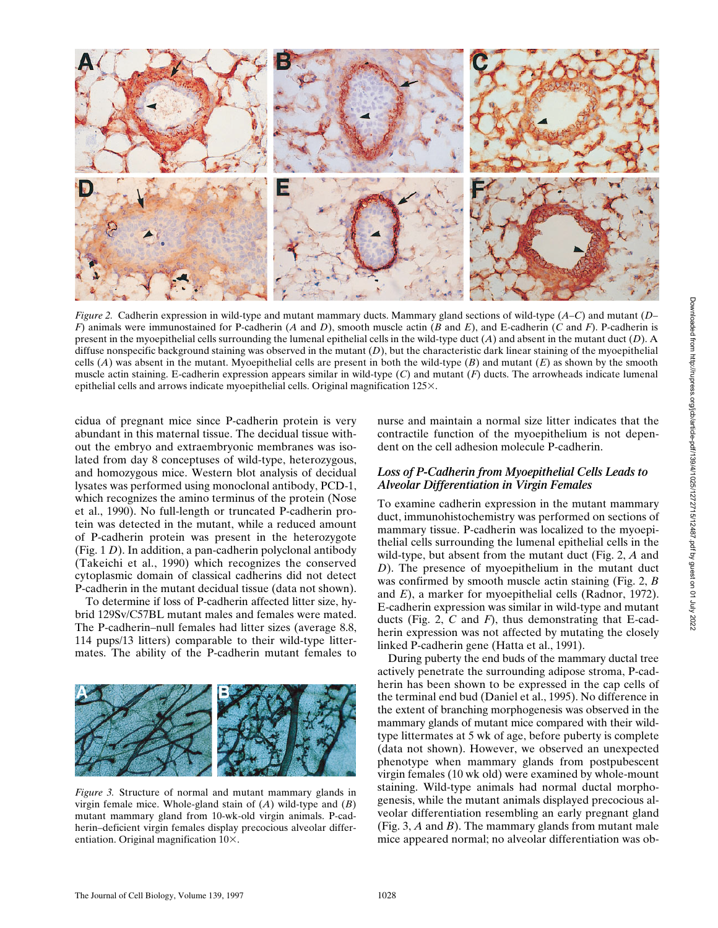

*Figure 2.* Cadherin expression in wild-type and mutant mammary ducts. Mammary gland sections of wild-type (*A–C*) and mutant (*D– F*) animals were immunostained for P-cadherin (*A* and *D*), smooth muscle actin (*B* and *E*), and E-cadherin (*C* and *F*). P-cadherin is present in the myoepithelial cells surrounding the lumenal epithelial cells in the wild-type duct (*A*) and absent in the mutant duct (*D*). A diffuse nonspecific background staining was observed in the mutant (*D*), but the characteristic dark linear staining of the myoepithelial cells  $(A)$  was absent in the mutant. Myoepithelial cells are present in both the wild-type  $(B)$  and mutant  $(E)$  as shown by the smooth muscle actin staining. E-cadherin expression appears similar in wild-type (*C*) and mutant (*F*) ducts. The arrowheads indicate lumenal epithelial cells and arrows indicate myoepithelial cells. Original magnification 125×.

cidua of pregnant mice since P-cadherin protein is very abundant in this maternal tissue. The decidual tissue without the embryo and extraembryonic membranes was isolated from day 8 conceptuses of wild-type, heterozygous, and homozygous mice. Western blot analysis of decidual lysates was performed using monoclonal antibody, PCD-1, which recognizes the amino terminus of the protein (Nose et al., 1990). No full-length or truncated P-cadherin protein was detected in the mutant, while a reduced amount of P-cadherin protein was present in the heterozygote (Fig. 1 *D*). In addition, a pan-cadherin polyclonal antibody (Takeichi et al., 1990) which recognizes the conserved cytoplasmic domain of classical cadherins did not detect P-cadherin in the mutant decidual tissue (data not shown).

To determine if loss of P-cadherin affected litter size, hybrid 129Sv/C57BL mutant males and females were mated. The P-cadherin–null females had litter sizes (average 8.8, 114 pups/13 litters) comparable to their wild-type littermates. The ability of the P-cadherin mutant females to



*Figure 3.* Structure of normal and mutant mammary glands in virgin female mice. Whole-gland stain of (*A*) wild-type and (*B*) mutant mammary gland from 10-wk-old virgin animals. P-cadherin–deficient virgin females display precocious alveolar differentiation. Original magnification  $10\times$ .

nurse and maintain a normal size litter indicates that the contractile function of the myoepithelium is not dependent on the cell adhesion molecule P-cadherin.

#### *Loss of P-Cadherin from Myoepithelial Cells Leads to Alveolar Differentiation in Virgin Females*

To examine cadherin expression in the mutant mammary duct, immunohistochemistry was performed on sections of mammary tissue. P-cadherin was localized to the myoepithelial cells surrounding the lumenal epithelial cells in the wild-type, but absent from the mutant duct (Fig. 2, *A* and *D*). The presence of myoepithelium in the mutant duct was confirmed by smooth muscle actin staining (Fig. 2, *B* and *E*), a marker for myoepithelial cells (Radnor, 1972). E-cadherin expression was similar in wild-type and mutant ducts (Fig. 2, *C* and *F*), thus demonstrating that E-cadherin expression was not affected by mutating the closely linked P-cadherin gene (Hatta et al., 1991).

During puberty the end buds of the mammary ductal tree actively penetrate the surrounding adipose stroma, P-cadherin has been shown to be expressed in the cap cells of the terminal end bud (Daniel et al., 1995). No difference in the extent of branching morphogenesis was observed in the mammary glands of mutant mice compared with their wildtype littermates at 5 wk of age, before puberty is complete (data not shown). However, we observed an unexpected phenotype when mammary glands from postpubescent virgin females (10 wk old) were examined by whole-mount staining. Wild-type animals had normal ductal morphogenesis, while the mutant animals displayed precocious alveolar differentiation resembling an early pregnant gland (Fig. 3, *A* and *B*). The mammary glands from mutant male mice appeared normal; no alveolar differentiation was ob-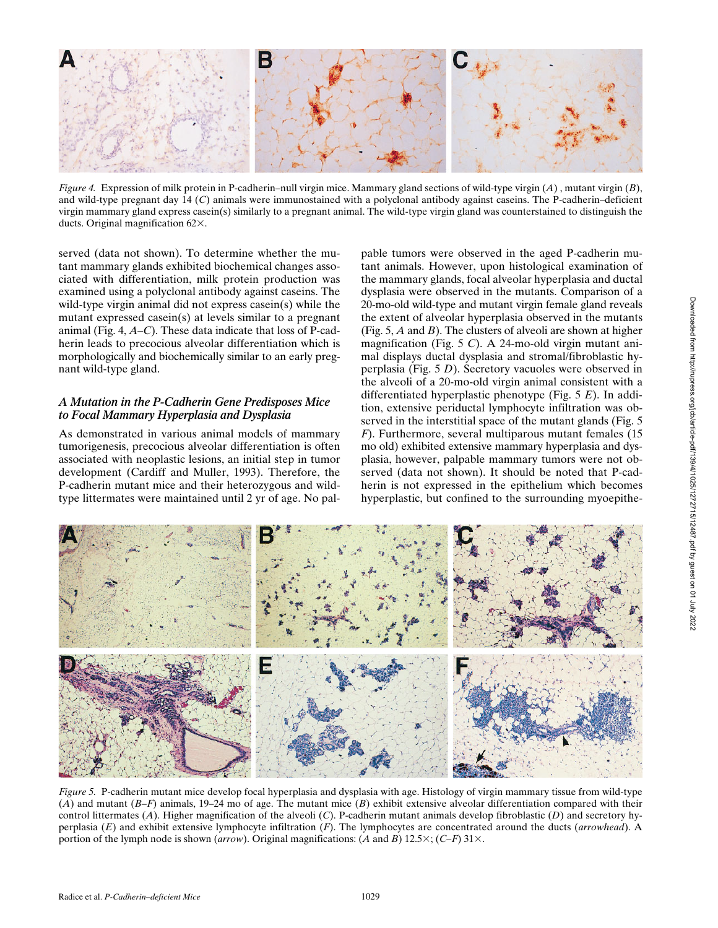

*Figure 4.* Expression of milk protein in P-cadherin–null virgin mice. Mammary gland sections of wild-type virgin (*A*) , mutant virgin (*B*), and wild-type pregnant day 14 (*C*) animals were immunostained with a polyclonal antibody against caseins. The P-cadherin–deficient virgin mammary gland express casein(s) similarly to a pregnant animal. The wild-type virgin gland was counterstained to distinguish the ducts. Original magnification  $62\times$ .

served (data not shown). To determine whether the mutant mammary glands exhibited biochemical changes associated with differentiation, milk protein production was examined using a polyclonal antibody against caseins. The wild-type virgin animal did not express casein(s) while the mutant expressed casein(s) at levels similar to a pregnant animal (Fig. 4, *A–C*). These data indicate that loss of P-cadherin leads to precocious alveolar differentiation which is morphologically and biochemically similar to an early pregnant wild-type gland.

#### *A Mutation in the P-Cadherin Gene Predisposes Mice to Focal Mammary Hyperplasia and Dysplasia*

As demonstrated in various animal models of mammary tumorigenesis, precocious alveolar differentiation is often associated with neoplastic lesions, an initial step in tumor development (Cardiff and Muller, 1993). Therefore, the P-cadherin mutant mice and their heterozygous and wildtype littermates were maintained until 2 yr of age. No pal-

pable tumors were observed in the aged P-cadherin mutant animals. However, upon histological examination of the mammary glands, focal alveolar hyperplasia and ductal dysplasia were observed in the mutants. Comparison of a 20-mo-old wild-type and mutant virgin female gland reveals the extent of alveolar hyperplasia observed in the mutants (Fig. 5, *A* and *B*). The clusters of alveoli are shown at higher magnification (Fig. 5 *C*). A 24-mo-old virgin mutant animal displays ductal dysplasia and stromal/fibroblastic hyperplasia (Fig. 5 *D*). Secretory vacuoles were observed in the alveoli of a 20-mo-old virgin animal consistent with a differentiated hyperplastic phenotype (Fig. 5 *E*). In addition, extensive periductal lymphocyte infiltration was observed in the interstitial space of the mutant glands (Fig. 5 *F*). Furthermore, several multiparous mutant females (15 mo old) exhibited extensive mammary hyperplasia and dysplasia, however, palpable mammary tumors were not observed (data not shown). It should be noted that P-cadherin is not expressed in the epithelium which becomes hyperplastic, but confined to the surrounding myoepithe-



*Figure 5.* P-cadherin mutant mice develop focal hyperplasia and dysplasia with age. Histology of virgin mammary tissue from wild-type (*A*) and mutant (*B–F*) animals, 19–24 mo of age. The mutant mice (*B*) exhibit extensive alveolar differentiation compared with their control littermates (*A*). Higher magnification of the alveoli (*C*). P-cadherin mutant animals develop fibroblastic (*D*) and secretory hyperplasia (*E*) and exhibit extensive lymphocyte infiltration (*F*). The lymphocytes are concentrated around the ducts (*arrowhead*). A portion of the lymph node is shown (*arrow*). Original magnifications: (*A* and *B*) 12.5 $\times$ ; (*C–F*) 31 $\times$ .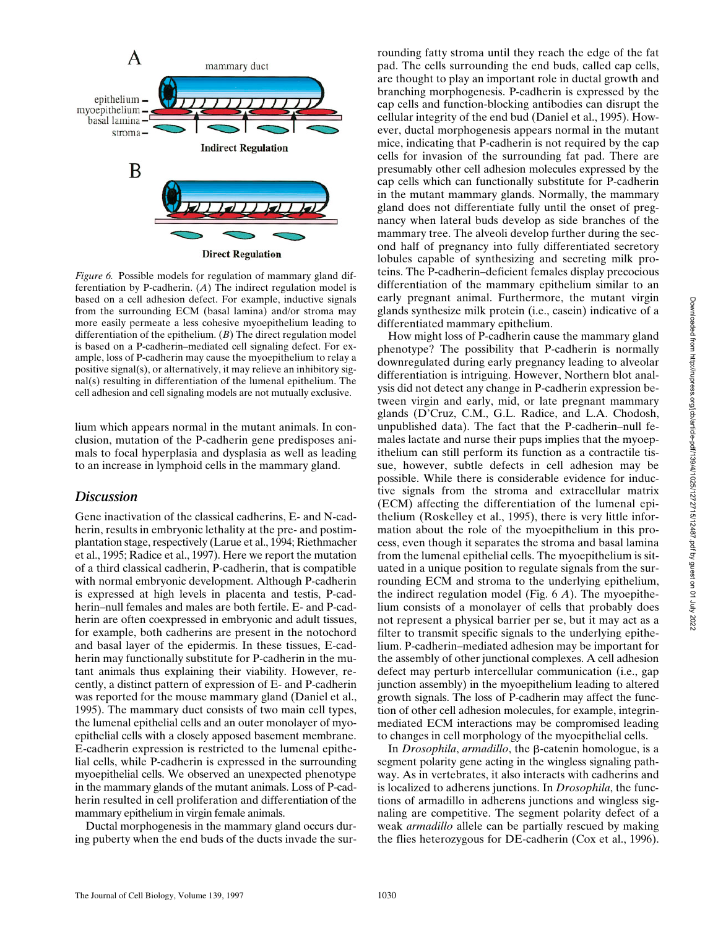

*Figure 6.* Possible models for regulation of mammary gland differentiation by P-cadherin. (*A*) The indirect regulation model is based on a cell adhesion defect. For example, inductive signals from the surrounding ECM (basal lamina) and/or stroma may more easily permeate a less cohesive myoepithelium leading to differentiation of the epithelium. (*B*) The direct regulation model is based on a P-cadherin–mediated cell signaling defect. For example, loss of P-cadherin may cause the myoepithelium to relay a positive signal(s), or alternatively, it may relieve an inhibitory signal(s) resulting in differentiation of the lumenal epithelium. The cell adhesion and cell signaling models are not mutually exclusive.

lium which appears normal in the mutant animals. In conclusion, mutation of the P-cadherin gene predisposes animals to focal hyperplasia and dysplasia as well as leading to an increase in lymphoid cells in the mammary gland.

### *Discussion*

Gene inactivation of the classical cadherins, E- and N-cadherin, results in embryonic lethality at the pre- and postimplantation stage, respectively (Larue et al., 1994; Riethmacher et al., 1995; Radice et al., 1997). Here we report the mutation of a third classical cadherin, P-cadherin, that is compatible with normal embryonic development. Although P-cadherin is expressed at high levels in placenta and testis, P-cadherin–null females and males are both fertile. E- and P-cadherin are often coexpressed in embryonic and adult tissues, for example, both cadherins are present in the notochord and basal layer of the epidermis. In these tissues, E-cadherin may functionally substitute for P-cadherin in the mutant animals thus explaining their viability. However, recently, a distinct pattern of expression of E- and P-cadherin was reported for the mouse mammary gland (Daniel et al., 1995). The mammary duct consists of two main cell types, the lumenal epithelial cells and an outer monolayer of myoepithelial cells with a closely apposed basement membrane. E-cadherin expression is restricted to the lumenal epithelial cells, while P-cadherin is expressed in the surrounding myoepithelial cells. We observed an unexpected phenotype in the mammary glands of the mutant animals. Loss of P-cadherin resulted in cell proliferation and differentiation of the mammary epithelium in virgin female animals.

Ductal morphogenesis in the mammary gland occurs during puberty when the end buds of the ducts invade the surrounding fatty stroma until they reach the edge of the fat pad. The cells surrounding the end buds, called cap cells, are thought to play an important role in ductal growth and branching morphogenesis. P-cadherin is expressed by the cap cells and function-blocking antibodies can disrupt the cellular integrity of the end bud (Daniel et al., 1995). However, ductal morphogenesis appears normal in the mutant mice, indicating that P-cadherin is not required by the cap cells for invasion of the surrounding fat pad. There are presumably other cell adhesion molecules expressed by the cap cells which can functionally substitute for P-cadherin in the mutant mammary glands. Normally, the mammary gland does not differentiate fully until the onset of pregnancy when lateral buds develop as side branches of the mammary tree. The alveoli develop further during the second half of pregnancy into fully differentiated secretory lobules capable of synthesizing and secreting milk proteins. The P-cadherin–deficient females display precocious differentiation of the mammary epithelium similar to an early pregnant animal. Furthermore, the mutant virgin glands synthesize milk protein (i.e., casein) indicative of a differentiated mammary epithelium.

How might loss of P-cadherin cause the mammary gland phenotype? The possibility that P-cadherin is normally downregulated during early pregnancy leading to alveolar differentiation is intriguing. However, Northern blot analysis did not detect any change in P-cadherin expression between virgin and early, mid, or late pregnant mammary glands (D'Cruz, C.M., G.L. Radice, and L.A. Chodosh, unpublished data). The fact that the P-cadherin–null females lactate and nurse their pups implies that the myoepithelium can still perform its function as a contractile tissue, however, subtle defects in cell adhesion may be possible. While there is considerable evidence for inductive signals from the stroma and extracellular matrix (ECM) affecting the differentiation of the lumenal epithelium (Roskelley et al., 1995), there is very little information about the role of the myoepithelium in this process, even though it separates the stroma and basal lamina from the lumenal epithelial cells. The myoepithelium is situated in a unique position to regulate signals from the surrounding ECM and stroma to the underlying epithelium, the indirect regulation model (Fig. 6 *A*). The myoepithelium consists of a monolayer of cells that probably does not represent a physical barrier per se, but it may act as a filter to transmit specific signals to the underlying epithelium. P-cadherin–mediated adhesion may be important for the assembly of other junctional complexes. A cell adhesion defect may perturb intercellular communication (i.e., gap junction assembly) in the myoepithelium leading to altered growth signals. The loss of P-cadherin may affect the function of other cell adhesion molecules, for example, integrinmediated ECM interactions may be compromised leading to changes in cell morphology of the myoepithelial cells.

In *Drosophila*, *armadillo*, the β-catenin homologue, is a segment polarity gene acting in the wingless signaling pathway. As in vertebrates, it also interacts with cadherins and is localized to adherens junctions. In *Drosophila*, the functions of armadillo in adherens junctions and wingless signaling are competitive. The segment polarity defect of a weak *armadillo* allele can be partially rescued by making the flies heterozygous for DE-cadherin (Cox et al., 1996).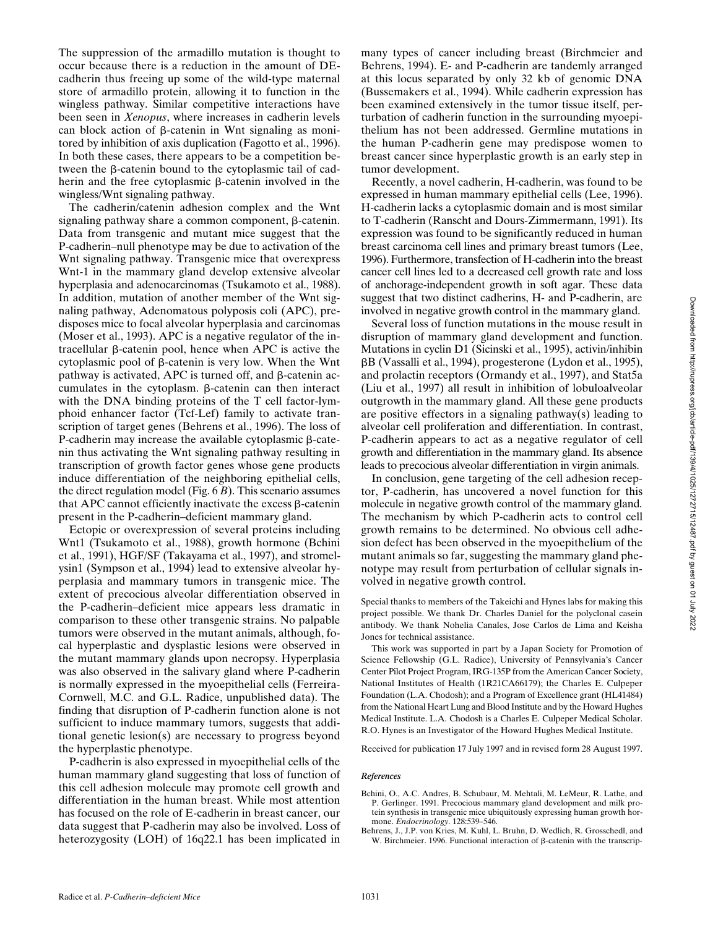The suppression of the armadillo mutation is thought to occur because there is a reduction in the amount of DEcadherin thus freeing up some of the wild-type maternal store of armadillo protein, allowing it to function in the wingless pathway. Similar competitive interactions have been seen in *Xenopus*, where increases in cadherin levels can block action of  $\beta$ -catenin in Wnt signaling as monitored by inhibition of axis duplication (Fagotto et al., 1996). In both these cases, there appears to be a competition between the  $\beta$ -catenin bound to the cytoplasmic tail of cadherin and the free cytoplasmic  $\beta$ -catenin involved in the wingless/Wnt signaling pathway.

The cadherin/catenin adhesion complex and the Wnt signaling pathway share a common component,  $\beta$ -catenin. Data from transgenic and mutant mice suggest that the P-cadherin–null phenotype may be due to activation of the Wnt signaling pathway. Transgenic mice that overexpress Wnt-1 in the mammary gland develop extensive alveolar hyperplasia and adenocarcinomas (Tsukamoto et al., 1988). In addition, mutation of another member of the Wnt signaling pathway, Adenomatous polyposis coli (APC), predisposes mice to focal alveolar hyperplasia and carcinomas (Moser et al., 1993). APC is a negative regulator of the intracellular  $\beta$ -catenin pool, hence when APC is active the cytoplasmic pool of  $\beta$ -catenin is very low. When the Wnt pathway is activated, APC is turned off, and  $\beta$ -catenin accumulates in the cytoplasm.  $\beta$ -catenin can then interact with the DNA binding proteins of the T cell factor-lymphoid enhancer factor (Tcf-Lef) family to activate transcription of target genes (Behrens et al., 1996). The loss of P-cadherin may increase the available cytoplasmic  $\beta$ -catenin thus activating the Wnt signaling pathway resulting in transcription of growth factor genes whose gene products induce differentiation of the neighboring epithelial cells, the direct regulation model (Fig. 6 *B*). This scenario assumes that APC cannot efficiently inactivate the excess  $\beta$ -catenin present in the P-cadherin–deficient mammary gland.

Ectopic or overexpression of several proteins including Wnt1 (Tsukamoto et al., 1988), growth hormone (Bchini et al., 1991), HGF/SF (Takayama et al., 1997), and stromelysin1 (Sympson et al., 1994) lead to extensive alveolar hyperplasia and mammary tumors in transgenic mice. The extent of precocious alveolar differentiation observed in the P-cadherin–deficient mice appears less dramatic in comparison to these other transgenic strains. No palpable tumors were observed in the mutant animals, although, focal hyperplastic and dysplastic lesions were observed in the mutant mammary glands upon necropsy. Hyperplasia was also observed in the salivary gland where P-cadherin is normally expressed in the myoepithelial cells (Ferreira-Cornwell, M.C. and G.L. Radice, unpublished data). The finding that disruption of P-cadherin function alone is not sufficient to induce mammary tumors, suggests that additional genetic lesion(s) are necessary to progress beyond the hyperplastic phenotype.

P-cadherin is also expressed in myoepithelial cells of the human mammary gland suggesting that loss of function of this cell adhesion molecule may promote cell growth and differentiation in the human breast. While most attention has focused on the role of E-cadherin in breast cancer, our data suggest that P-cadherin may also be involved. Loss of heterozygosity (LOH) of 16q22.1 has been implicated in many types of cancer including breast (Birchmeier and Behrens, 1994). E- and P-cadherin are tandemly arranged at this locus separated by only 32 kb of genomic DNA (Bussemakers et al., 1994). While cadherin expression has been examined extensively in the tumor tissue itself, perturbation of cadherin function in the surrounding myoepithelium has not been addressed. Germline mutations in the human P-cadherin gene may predispose women to breast cancer since hyperplastic growth is an early step in tumor development.

Recently, a novel cadherin, H-cadherin, was found to be expressed in human mammary epithelial cells (Lee, 1996). H-cadherin lacks a cytoplasmic domain and is most similar to T-cadherin (Ranscht and Dours-Zimmermann, 1991). Its expression was found to be significantly reduced in human breast carcinoma cell lines and primary breast tumors (Lee, 1996). Furthermore, transfection of H-cadherin into the breast cancer cell lines led to a decreased cell growth rate and loss of anchorage-independent growth in soft agar. These data suggest that two distinct cadherins, H- and P-cadherin, are involved in negative growth control in the mammary gland.

Several loss of function mutations in the mouse result in disruption of mammary gland development and function. Mutations in cyclin D1 (Sicinski et al., 1995), activin/inhibin bB (Vassalli et al., 1994), progesterone (Lydon et al., 1995), and prolactin receptors (Ormandy et al., 1997), and Stat5a (Liu et al., 1997) all result in inhibition of lobuloalveolar outgrowth in the mammary gland. All these gene products are positive effectors in a signaling pathway(s) leading to alveolar cell proliferation and differentiation. In contrast, P-cadherin appears to act as a negative regulator of cell growth and differentiation in the mammary gland. Its absence leads to precocious alveolar differentiation in virgin animals.

In conclusion, gene targeting of the cell adhesion receptor, P-cadherin, has uncovered a novel function for this molecule in negative growth control of the mammary gland. The mechanism by which P-cadherin acts to control cell growth remains to be determined. No obvious cell adhesion defect has been observed in the myoepithelium of the mutant animals so far, suggesting the mammary gland phenotype may result from perturbation of cellular signals involved in negative growth control.

Special thanks to members of the Takeichi and Hynes labs for making this project possible. We thank Dr. Charles Daniel for the polyclonal casein antibody. We thank Nohelia Canales, Jose Carlos de Lima and Keisha Jones for technical assistance.

This work was supported in part by a Japan Society for Promotion of Science Fellowship (G.L. Radice), University of Pennsylvania's Cancer Center Pilot Project Program, IRG-135P from the American Cancer Society, National Institutes of Health (1R21CA66179); the Charles E. Culpeper Foundation (L.A. Chodosh); and a Program of Excellence grant (HL41484) from the National Heart Lung and Blood Institute and by the Howard Hughes Medical Institute. L.A. Chodosh is a Charles E. Culpeper Medical Scholar. R.O. Hynes is an Investigator of the Howard Hughes Medical Institute.

Received for publication 17 July 1997 and in revised form 28 August 1997.

#### *References*

- Bchini, O., A.C. Andres, B. Schubaur, M. Mehtali, M. LeMeur, R. Lathe, and P. Gerlinger. 1991. Precocious mammary gland development and milk protein synthesis in transgenic mice ubiquitously expressing human growth hormone. *Endocrinology.* 128:539–546.
- Behrens, J., J.P. von Kries, M. Kuhl, L. Bruhn, D. Wedlich, R. Grosschedl, and W. Birchmeier. 1996. Functional interaction of  $\beta$ -catenin with the transcrip-